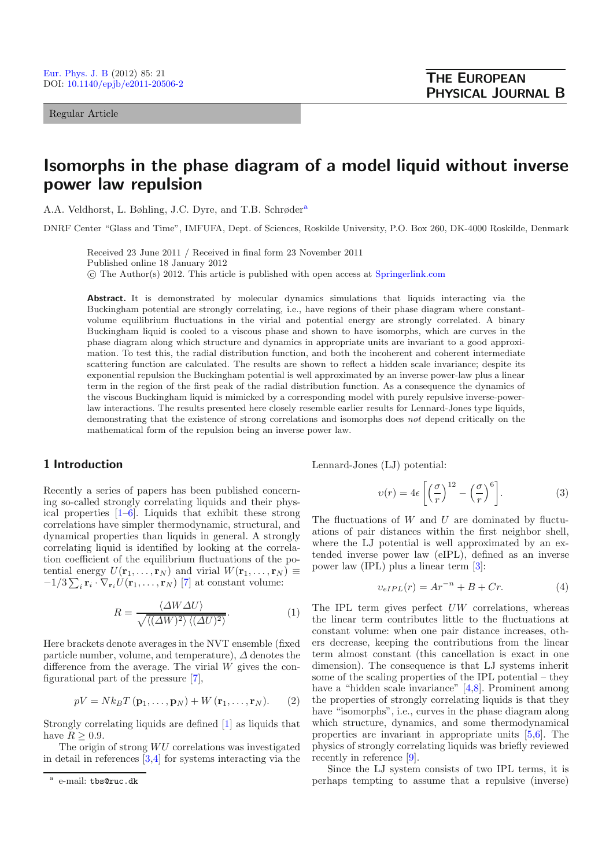Regular Article

# **Isomorphs in the phase diagram of a model liquid without inverse power law repulsion**

A.A. Veldhorst, L. Bøhling, J.C. Dyre, and T.B. Schrøder<sup>a</sup>

DNRF Center "Glass and Time", IMFUFA, Dept. of Sciences, Roskilde University, P.O. Box 260, DK-4000 Roskilde, Denmark

Received 23 June 2011 / Received in final form 23 November 2011 Published online 18 January 2012 -c The Author(s) 2012. This article is published with open access at [Springerlink.com](http://www.springerlink.com)

**Abstract.** It is demonstrated by molecular dynamics simulations that liquids interacting via the Buckingham potential are strongly correlating, i.e., have regions of their phase diagram where constantvolume equilibrium fluctuations in the virial and potential energy are strongly correlated. A binary Buckingham liquid is cooled to a viscous phase and shown to have isomorphs, which are curves in the phase diagram along which structure and dynamics in appropriate units are invariant to a good approximation. To test this, the radial distribution function, and both the incoherent and coherent intermediate scattering function are calculated. The results are shown to reflect a hidden scale invariance; despite its exponential repulsion the Buckingham potential is well approximated by an inverse power-law plus a linear term in the region of the first peak of the radial distribution function. As a consequence the dynamics of the viscous Buckingham liquid is mimicked by a corresponding model with purely repulsive inverse-powerlaw interactions. The results presented here closely resemble earlier results for Lennard-Jones type liquids, demonstrating that the existence of strong correlations and isomorphs does *not* depend critically on the mathematical form of the repulsion being an inverse power law.

#### **1 Introduction**

Recently a series of papers has been published concerning so-called strongly correlating liquids and their physical properties [\[1](#page-6-0)[–6](#page-6-1)]. Liquids that exhibit these strong correlations have simpler thermodynamic, structural, and dynamical properties than liquids in general. A strongly correlating liquid is identified by looking at the correlation coefficient of the equilibrium fluctuations of the potential energy  $U(\mathbf{r}_1,\ldots,\mathbf{r}_N)$  and virial  $W(\mathbf{r}_1,\ldots,\mathbf{r}_N) \equiv$  $-1/3\sum_i \mathbf{r}_i \cdot \nabla_{\mathbf{r}_i} U(\mathbf{r}_1,\ldots,\mathbf{r}_N)$  [\[7](#page-6-2)] at constant volume:

$$
R = \frac{\langle \Delta W \Delta U \rangle}{\sqrt{\langle (\Delta W)^2 \rangle \langle (\Delta U)^2 \rangle}}.
$$
 (1)

Here brackets denote averages in the NVT ensemble (fixed particle number, volume, and temperature),  $\Delta$  denotes the difference from the average. The virial W gives the configurational part of the pressure [\[7](#page-6-2)],

$$
pV = Nk_BT(\mathbf{p}_1, \dots, \mathbf{p}_N) + W(\mathbf{r}_1, \dots, \mathbf{r}_N). \tag{2}
$$

Strongly correlating liquids are defined [\[1\]](#page-6-0) as liquids that have  $R \geq 0.9$ .

The origin of strong  $WU$  correlations was investigated in detail in references [\[3](#page-6-3)[,4\]](#page-6-4) for systems interacting via the

<span id="page-0-0"></span>Lennard-Jones (LJ) potential:

<span id="page-0-1"></span>
$$
v(r) = 4\epsilon \left[ \left(\frac{\sigma}{r}\right)^{12} - \left(\frac{\sigma}{r}\right)^6 \right].
$$
 (3)

The fluctuations of  $W$  and  $U$  are dominated by fluctuations of pair distances within the first neighbor shell, where the LJ potential is well approximated by an extended inverse power law (eIPL), defined as an inverse power law (IPL) plus a linear term [\[3](#page-6-3)]:

$$
v_{eIPL}(r) = Ar^{-n} + B + Cr.
$$
\n(4)

The IPL term gives perfect UW correlations, whereas the linear term contributes little to the fluctuations at constant volume: when one pair distance increases, others decrease, keeping the contributions from the linear term almost constant (this cancellation is exact in one dimension). The consequence is that LJ systems inherit some of the scaling properties of the IPL potential – they have a "hidden scale invariance" [\[4](#page-6-4)[,8\]](#page-6-5). Prominent among the properties of strongly correlating liquids is that they have "isomorphs", i.e., curves in the phase diagram along which structure, dynamics, and some thermodynamical properties are invariant in appropriate units [\[5](#page-6-6)[,6\]](#page-6-1). The physics of strongly correlating liquids was briefly reviewed recently in reference [\[9\]](#page-6-7).

Since the LJ system consists of two IPL terms, it is perhaps tempting to assume that a repulsive (inverse)

e-mail: tbs@ruc.dk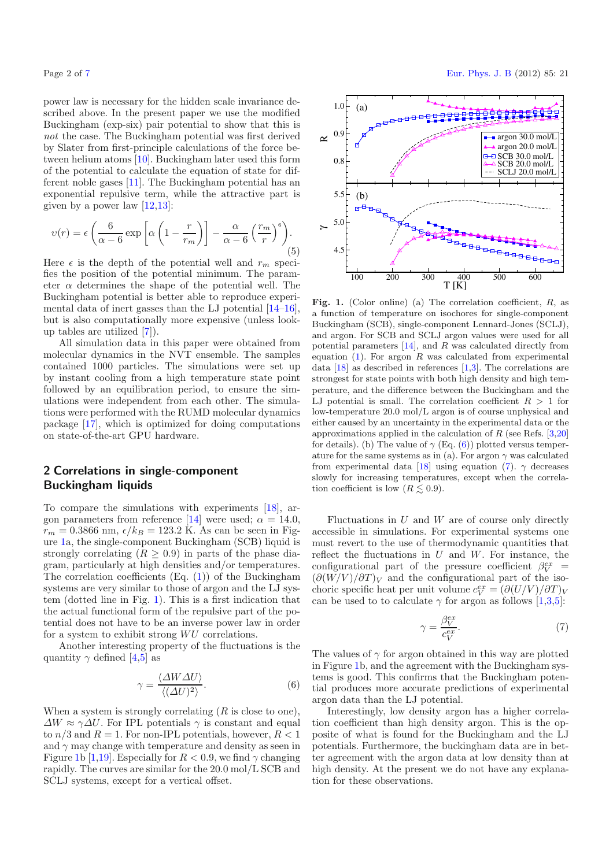power law is necessary for the hidden scale invariance described above. In the present paper we use the modified Buckingham (exp-six) pair potential to show that this is *not* the case. The Buckingham potential was first derived by Slater from first-principle calculations of the force between helium atoms [\[10](#page-6-9)]. Buckingham later used this form of the potential to calculate the equation of state for different noble gases [\[11\]](#page-6-10). The Buckingham potential has an exponential repulsive term, while the attractive part is given by a power law  $[12.13]$  $[12.13]$ :

$$
\upsilon(r) = \epsilon \left( \frac{6}{\alpha - 6} \exp \left[ \alpha \left( 1 - \frac{r}{r_m} \right) \right] - \frac{\alpha}{\alpha - 6} \left( \frac{r_m}{r} \right)^6 \right). \tag{5}
$$

Here  $\epsilon$  is the depth of the potential well and  $r_m$  specifies the position of the potential minimum. The parameter  $\alpha$  determines the shape of the potential well. The Buckingham potential is better able to reproduce experimental data of inert gasses than the LJ potential [\[14](#page-6-13)[–16\]](#page-6-14), but is also computationally more expensive (unless lookup tables are utilized [\[7](#page-6-2)]).

All simulation data in this paper were obtained from molecular dynamics in the NVT ensemble. The samples contained 1000 particles. The simulations were set up by instant cooling from a high temperature state point followed by an equilibration period, to ensure the simulations were independent from each other. The simulations were performed with the RUMD molecular dynamics package [\[17\]](#page-6-15), which is optimized for doing computations on state-of-the-art GPU hardware.

## **2 Correlations in single-component Buckingham liquids**

<span id="page-1-1"></span>To compare the simulations with experiments [\[18\]](#page-6-16), ar-gon parameters from reference [\[14\]](#page-6-13) were used;  $\alpha = 14.0$ ,  $r_m = 0.3866$  nm,  $\epsilon/k_B = 123.2$  K. As can be seen in Figure [1a](#page-1-0), the single-component Buckingham (SCB) liquid is strongly correlating  $(R \geq 0.9)$  in parts of the phase diagram, particularly at high densities and/or temperatures. The correlation coefficients  $(Eq. (1))$  $(Eq. (1))$  $(Eq. (1))$  of the Buckingham systems are very similar to those of argon and the LJ system (dotted line in Fig. [1\)](#page-1-0). This is a first indication that the actual functional form of the repulsive part of the potential does not have to be an inverse power law in order for a system to exhibit strong  $WU$  correlations.

Another interesting property of the fluctuations is the quantity  $\gamma$  defined [\[4](#page-6-4)[,5\]](#page-6-6) as

$$
\gamma = \frac{\langle \Delta W \Delta U \rangle}{\langle (\Delta U)^2 \rangle}.
$$
\n(6)

When a system is strongly correlating  $(R$  is close to one),  $\Delta W \approx \gamma \Delta U$ . For IPL potentials  $\gamma$  is constant and equal to  $n/3$  and  $R = 1$ . For non-IPL potentials, however,  $R < 1$ and  $\gamma$  may change with temperature and density as seen in Figure [1b](#page-1-0) [\[1](#page-6-0)[,19\]](#page-6-17). Especially for  $R < 0.9$ , we find  $\gamma$  changing rapidly. The curves are similar for the 20.0 mol/L SCB and SCLJ systems, except for a vertical offset.

<span id="page-1-0"></span>

Fig. 1. (Color online) (a) The correlation coefficient, R, as a function of temperature on isochores for single-component Buckingham (SCB), single-component Lennard-Jones (SCLJ), and argon. For SCB and SCLJ argon values were used for all potential parameters  $[14]$  $[14]$ , and R was calculated directly from equation  $(1)$ . For argon R was calculated from experimental data [\[18\]](#page-6-16) as described in references [\[1](#page-6-0)[,3](#page-6-3)]. The correlations are strongest for state points with both high density and high temperature, and the difference between the Buckingham and the LJ potential is small. The correlation coefficient  $R > 1$  for low-temperature 20.0 mol/L argon is of course unphysical and either caused by an uncertainty in the experimental data or the approximations applied in the calculation of  $R$  (see Refs. [\[3](#page-6-3)[,20](#page-6-18)] for details). (b) The value of  $\gamma$  (Eq. [\(6\)](#page-1-1)) plotted versus temperature for the same systems as in (a). For argon  $\gamma$  was calculated from experimental data [\[18](#page-6-16)] using equation [\(7\)](#page-1-2).  $\gamma$  decreases slowly for increasing temperatures, except when the correlation coefficient is low  $(R \lesssim 0.9)$ .

Fluctuations in  $U$  and  $W$  are of course only directly accessible in simulations. For experimental systems one must revert to the use of thermodynamic quantities that reflect the fluctuations in  $U$  and  $W$ . For instance, the configurational part of the pressure coefficient  $\beta_V^{ex} =$ <br> $(\partial (W/V)/\partial T)_V$  and the configurational part of the iso- $(\partial (W/V)/\partial T)_V$  and the configurational part of the isochoric specific heat per unit volume  $c_V^{ex} = (\partial (U/V)/\partial T)_V$ <br>can be used to to calculate  $\gamma$  for argon as follows [1,3,5] can be used to to calculate  $\gamma$  for argon as follows [\[1](#page-6-0)[,3](#page-6-3)[,5](#page-6-6)]:

<span id="page-1-2"></span>
$$
\gamma = \frac{\beta_V^{ex}}{c_V^{ex}}.\tag{7}
$$

The values of  $\gamma$  for argon obtained in this way are plotted in Figure [1b](#page-1-0), and the agreement with the Buckingham systems is good. This confirms that the Buckingham potential produces more accurate predictions of experimental argon data than the LJ potential.

Interestingly, low density argon has a higher correlation coefficient than high density argon. This is the opposite of what is found for the Buckingham and the LJ potentials. Furthermore, the buckingham data are in better agreement with the argon data at low density than at high density. At the present we do not have any explanation for these observations.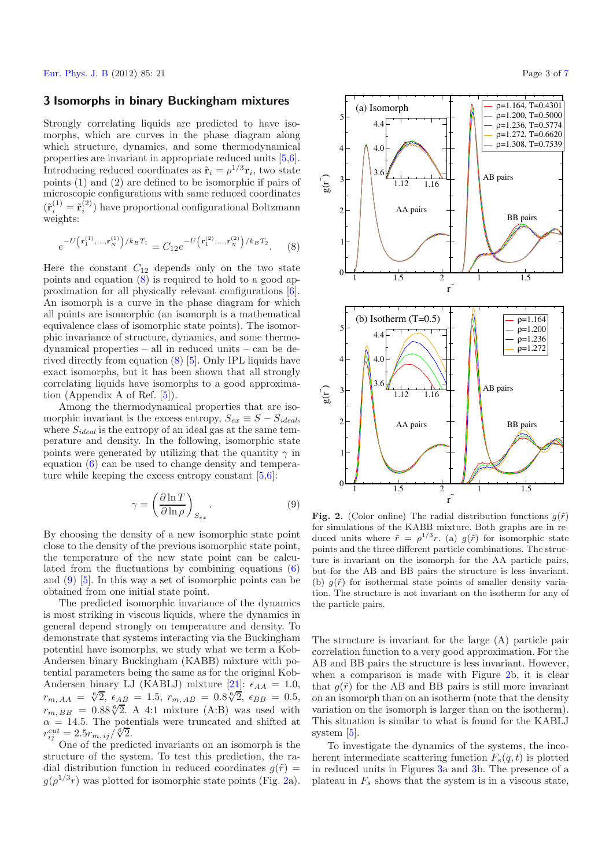#### <span id="page-2-0"></span>**3 Isomorphs in binary Buckingham mixtures**

Strongly correlating liquids are predicted to have isomorphs, which are curves in the phase diagram along which structure, dynamics, and some thermodynamical properties are invariant in appropriate reduced units [\[5](#page-6-6)[,6\]](#page-6-1). Introducing reduced coordinates as  $\tilde{\mathbf{r}}_i = \rho^{1/3} \mathbf{r}_i$ , two state points (1) and (2) are defined to be isomorphic if pairs of microscopic configurations with same reduced coordinates  $(\tilde{\mathbf{r}}_i^{(1)} = \tilde{\mathbf{r}}_i^{(2)})$  have proportional configurational Boltzmann weights:

<span id="page-2-1"></span>
$$
e^{-U\left(\mathbf{r}_{1}^{(1)},...,\mathbf{r}_{N}^{(1)}\right)/k_{B}T_{1}} = C_{12}e^{-U\left(\mathbf{r}_{1}^{(2)},...,\mathbf{r}_{N}^{(2)}\right)/k_{B}T_{2}}.\tag{8}
$$

Here the constant  $C_{12}$  depends only on the two state points and equation [\(8\)](#page-2-0) is required to hold to a good approximation for all physically relevant configurations [\[6\]](#page-6-1). An isomorph is a curve in the phase diagram for which all points are isomorphic (an isomorph is a mathematical equivalence class of isomorphic state points). The isomorphic invariance of structure, dynamics, and some thermodynamical properties – all in reduced units – can be derived directly from equation [\(8\)](#page-2-0) [\[5\]](#page-6-6). Only IPL liquids have exact isomorphs, but it has been shown that all strongly correlating liquids have isomorphs to a good approximation (Appendix A of Ref. [\[5\]](#page-6-6)).

Among the thermodynamical properties that are isomorphic invariant is the excess entropy,  $S_{ex} \equiv S - S_{ideal}$ , where <sup>S</sup>*ideal* is the entropy of an ideal gas at the same temperature and density. In the following, isomorphic state points were generated by utilizing that the quantity  $\gamma$  in equation [\(6\)](#page-1-1) can be used to change density and temperature while keeping the excess entropy constant  $[5,6]$  $[5,6]$  $[5,6]$ :

$$
\gamma = \left(\frac{\partial \ln T}{\partial \ln \rho}\right)_{S_{ex}}.\tag{9}
$$

By choosing the density of a new isomorphic state point close to the density of the previous isomorphic state point, the temperature of the new state point can be calculated from the fluctuations by combining equations [\(6\)](#page-1-1) and [\(9\)](#page-2-1) [\[5\]](#page-6-6). In this way a set of isomorphic points can be obtained from one initial state point.

The predicted isomorphic invariance of the dynamics is most striking in viscous liquids, where the dynamics in general depend strongly on temperature and density. To demonstrate that systems interacting via the Buckingham potential have isomorphs, we study what we term a Kob-Andersen binary Buckingham (KABB) mixture with potential parameters being the same as for the original Kob-Andersen binary LJ (KABLJ) mixture [\[21\]](#page-6-19):  $\epsilon_{AA} = 1.0$ ,  $r_{m,AA} = \sqrt[6]{2}$ ,  $\epsilon_{AB} = 1.5$ ,  $r_{m,AB} = 0.8\sqrt[6]{2}$ ,  $\epsilon_{BB} = 0.5$ ,<br> $r_{m,A} = 0.88\sqrt[6]{2}$ ,  $\epsilon_{AB} = 0.5$ ,  $r_{m, BB} = 0.88\sqrt[6]{2}$ . A 4:1 mixture (A:B) was used with  $\alpha = 14.5$ . The potentials were truncated and shifted at  $\alpha = 14.5$ . The potentials were truncated and shifted at  $r^{cut} = 2.5r_{\text{max}}/s/2$  $r_{ij}^{cut} = 2.5r_{m,\,ij}/\sqrt[6]{2}.$ <br>One of the predi

One of the predicted invariants on an isomorph is the structure of the system. To test this prediction, the radial distribution function in reduced coordinates  $g(\tilde{r}) =$  $g(\rho^{1/3}r)$  was plotted for isomorphic state points (Fig. [2a](#page-2-2)).



<span id="page-2-2"></span>**Fig. 2.** (Color online) The radial distribution functions  $q(\tilde{r})$ for simulations of the KABB mixture. Both graphs are in reduced units where  $\tilde{r} = \rho^{1/3} r$ . (a)  $q(\tilde{r})$  for isomorphic state points and the three different particle combinations. The structure is invariant on the isomorph for the AA particle pairs, but for the AB and BB pairs the structure is less invariant. (b)  $g(\tilde{r})$  for isothermal state points of smaller density variation. The structure is not invariant on the isotherm for any of the particle pairs.

The structure is invariant for the large (A) particle pair correlation function to a very good approximation. For the AB and BB pairs the structure is less invariant. However, when a comparison is made with Figure [2b](#page-2-2), it is clear that  $q(\tilde{r})$  for the AB and BB pairs is still more invariant on an isomorph than on an isotherm (note that the density variation on the isomorph is larger than on the isotherm). This situation is similar to what is found for the KABLJ system [\[5\]](#page-6-6).

To investigate the dynamics of the systems, the incoherent intermediate scattering function  $F_s(q, t)$  is plotted in reduced units in Figures [3a](#page-3-0) and [3b](#page-3-0). The presence of a plateau in  $F_s$  shows that the system is in a viscous state,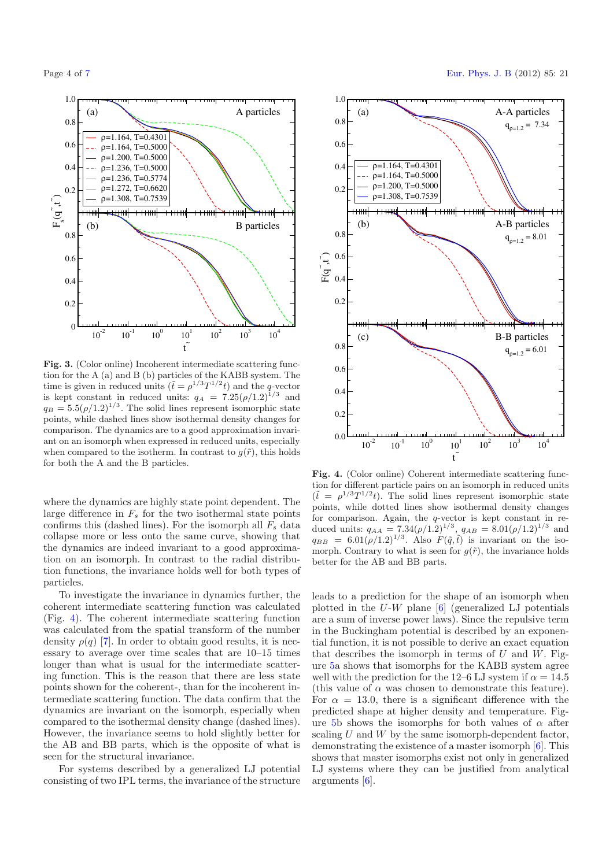<span id="page-3-0"></span>

**Fig. 3.** (Color online) Incoherent intermediate scattering function for the A (a) and B (b) particles of the KABB system. The time is given in reduced units  $(\tilde{t} = \rho^{1/3}T^{1/2}t)$  and the q-vector<br>is kept constant in reduced units:  $a_{\lambda} = 7.25(\rho/1.2)^{1/3}$  and is kept constant in reduced units:  $q_A = 7.25(\rho/1.2)^{1/3}$  and  $q_B = 5.5(\rho/1.2)^{1/3}$ . The solid lines represent isomorphic state points, while dashed lines show isothermal density changes for comparison. The dynamics are to a good approximation invariant on an isomorph when expressed in reduced units, especially when compared to the isotherm. In contrast to  $g(\tilde{r})$ , this holds for both the A and the B particles.

where the dynamics are highly state point dependent. The large difference in  $F_s$  for the two isothermal state points confirms this (dashed lines). For the isomorph all  $F_s$  data collapse more or less onto the same curve, showing that the dynamics are indeed invariant to a good approximation on an isomorph. In contrast to the radial distribution functions, the invariance holds well for both types of particles.

To investigate the invariance in dynamics further, the coherent intermediate scattering function was calculated (Fig. [4\)](#page-3-1). The coherent intermediate scattering function was calculated from the spatial transform of the number density  $\rho(q)$  [\[7](#page-6-2)]. In order to obtain good results, it is necessary to average over time scales that are 10–15 times longer than what is usual for the intermediate scattering function. This is the reason that there are less state points shown for the coherent-, than for the incoherent intermediate scattering function. The data confirm that the dynamics are invariant on the isomorph, especially when compared to the isothermal density change (dashed lines). However, the invariance seems to hold slightly better for the AB and BB parts, which is the opposite of what is seen for the structural invariance.

For systems described by a generalized LJ potential consisting of two IPL terms, the invariance of the structure



<span id="page-3-1"></span>**Fig. 4.** (Color online) Coherent intermediate scattering function for different particle pairs on an isomorph in reduced units  $(\tilde{t} = \rho^{1/3} T^{1/2} t)$ . The solid lines represent isomorphic state<br>points, while dotted lines show isothermal density changes points, while dotted lines show isothermal density changes for comparison. Again, the q-vector is kept constant in re-<br>duced units:  $g_{AA} = 7.34(a/1.2)^{1/3}$ ,  $g_{AB} = 8.01(a/1.2)^{1/3}$ , and duced units:  $q_{AA} = 7.34(\rho/1.2)^{1/3}$ ,  $q_{AB} = 8.01(\rho/1.2)^{1/3}$  and  $q_{BB} = 6.01(\rho/1.2)^{1/3}$  Also  $F(\tilde{a}, \tilde{t})$  is invariant on the iso $q_{BB} = 6.01(\rho/1.2)^{1/3}$ . Also  $F(\tilde{q}, \tilde{t})$  is invariant on the iso-<br>morph. Contrary to what is seen for  $g(\tilde{r})$  the invariance holds morph. Contrary to what is seen for  $g(\tilde{r})$ , the invariance holds better for the AB and BB parts.

leads to a prediction for the shape of an isomorph when plotted in the U-W plane [\[6\]](#page-6-1) (generalized LJ potentials are a sum of inverse power laws). Since the repulsive term in the Buckingham potential is described by an exponential function, it is not possible to derive an exact equation that describes the isomorph in terms of  $U$  and  $W$ . Figure [5a](#page-4-0) shows that isomorphs for the KABB system agree well with the prediction for the 12–6 LJ system if  $\alpha = 14.5$ (this value of  $\alpha$  was chosen to demonstrate this feature). For  $\alpha = 13.0$ , there is a significant difference with the predicted shape at higher density and temperature. Fig-ure [5b](#page-4-0) shows the isomorphs for both values of  $\alpha$  after scaling  $U$  and  $W$  by the same isomorph-dependent factor, demonstrating the existence of a master isomorph [\[6\]](#page-6-1). This shows that master isomorphs exist not only in generalized LJ systems where they can be justified from analytical arguments [\[6](#page-6-1)].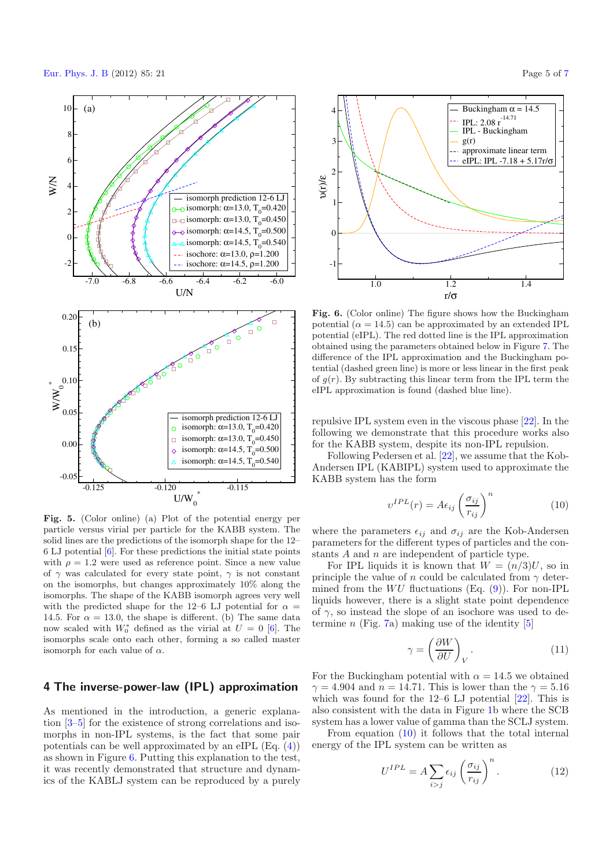[Eur. Phys. J. B](http://www.epj.org) (2012) 85: 21 Page 5 of [7](#page-6-8)



<span id="page-4-0"></span>**Fig. 5.** (Color online) (a) Plot of the potential energy per particle versus virial per particle for the KABB system. The solid lines are the predictions of the isomorph shape for the 12–  $6$  LJ potential  $[6]$  $[6]$ . For these predictions the initial state points with  $\rho = 1.2$  were used as reference point. Since a new value of  $\gamma$  was calculated for every state point,  $\gamma$  is not constant on the isomorphs, but changes approximately 10% along the isomorphs. The shape of the KABB isomorph agrees very well with the predicted shape for the 12–6 LJ potential for  $\alpha =$ 14.5. For  $\alpha = 13.0$ , the shape is different. (b) The same data now scaled with  $W_0^*$  defined as the virial at  $U = 0$  [\[6\]](#page-6-1). The isomorphs scale onto each other forming a so called master isomorphs scale onto each other, forming a so called master isomorph for each value of  $\alpha$ .

#### **4 The inverse-power-law (IPL) approximation**

As mentioned in the introduction, a generic explanation [\[3](#page-6-3)[–5](#page-6-6)] for the existence of strong correlations and isomorphs in non-IPL systems, is the fact that some pair potentials can be well approximated by an eIPL (Eq. [\(4\)](#page-0-1)) as shown in Figure [6.](#page-4-1) Putting this explanation to the test, it was recently demonstrated that structure and dynamics of the KABLJ system can be reproduced by a purely

<span id="page-4-1"></span>

<span id="page-4-2"></span>**Fig. 6.** (Color online) The figure shows how the Buckingham potential  $(\alpha = 14.5)$  can be approximated by an extended IPL potential (eIPL). The red dotted line is the IPL approximation obtained using the parameters obtained below in Figure [7.](#page-5-0) The difference of the IPL approximation and the Buckingham potential (dashed green line) is more or less linear in the first peak of  $q(r)$ . By subtracting this linear term from the IPL term the eIPL approximation is found (dashed blue line).

repulsive IPL system even in the viscous phase [\[22](#page-6-20)]. In the following we demonstrate that this procedure works also for the KABB system, despite its non-IPL repulsion.

Following Pedersen et al. [\[22\]](#page-6-20), we assume that the Kob-Andersen IPL (KABIPL) system used to approximate the KABB system has the form

$$
v^{IPL}(r) = A\epsilon_{ij} \left(\frac{\sigma_{ij}}{r_{ij}}\right)^n \tag{10}
$$

where the parameters  $\epsilon_{ij}$  and  $\sigma_{ij}$  are the Kob-Andersen parameters for the different types of particles and the constants A and n are independent of particle type.

For IPL liquids it is known that  $W = (n/3)U$ , so in principle the value of n could be calculated from  $\gamma$  determined from the  $WU$  fluctuations (Eq. [\(9\)](#page-2-1)). For non-IPL liquids however, there is a slight state point dependence of  $\gamma$ , so instead the slope of an isochore was used to determine  $n$  (Fig. [7a](#page-5-0)) making use of the identity [\[5\]](#page-6-6)

<span id="page-4-3"></span>
$$
\gamma = \left(\frac{\partial W}{\partial U}\right)_V.
$$
\n(11)

For the Buckingham potential with  $\alpha = 14.5$  we obtained  $\gamma = 4.904$  and  $n = 14.71$ . This is lower than the  $\gamma = 5.16$ which was found for the  $12-6$  LJ potential  $[22]$ . This is also consistent with the data in Figure [1b](#page-1-0) where the SCB system has a lower value of gamma than the SCLJ system.

From equation [\(10\)](#page-4-2) it follows that the total internal energy of the IPL system can be written as

$$
U^{IPL} = A \sum_{i>j} \epsilon_{ij} \left(\frac{\sigma_{ij}}{r_{ij}}\right)^n.
$$
 (12)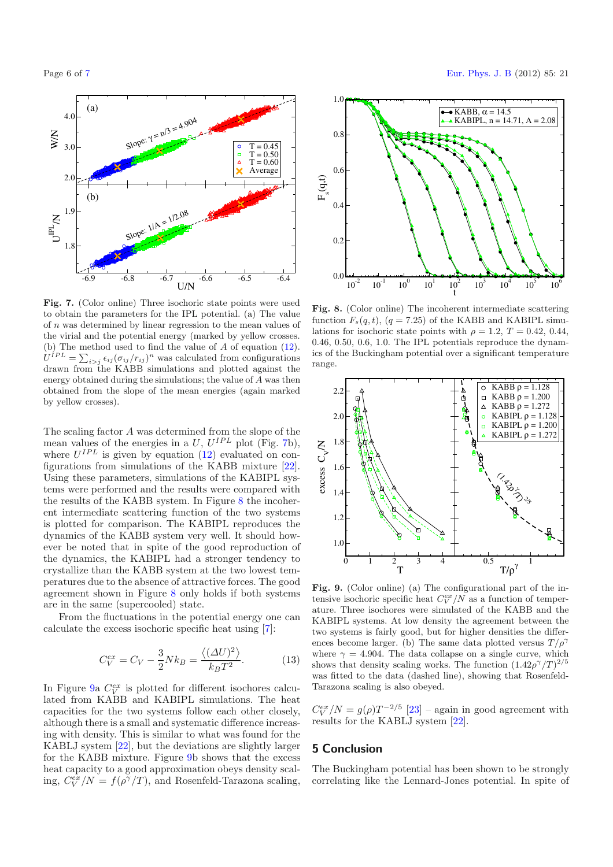<span id="page-5-0"></span>

**Fig. 7.** (Color online) Three isochoric state points were used to obtain the parameters for the IPL potential. (a) The value of n was determined by linear regression to the mean values of the virial and the potential energy (marked by yellow crosses. (b) The method used to find the value of A of equation [\(12\)](#page-4-3).<br> $U^{IPL} = \sum_{\epsilon \in (\sigma \cup \{r\})} n_{\text{WSS}}$  calculated from configurations  $U^{IPL} = \sum_{i>j} \epsilon_{ij} (\sigma_{ij}/r_{ij})^n$  was calculated from configurations<br>drawn from the KABB simulations and plotted against the drawn from the KABB simulations and plotted against the energy obtained during the simulations; the value of A was then obtained from the slope of the mean energies (again marked by yellow crosses).

The scaling factor A was determined from the slope of the mean values of the energies in a  $U, U^{IPL}$  plot (Fig. [7b](#page-5-0)), where  $U^{IPL}$  is given by equation [\(12\)](#page-4-3) evaluated on configurations from simulations of the KABB mixture [\[22\]](#page-6-20). Using these parameters, simulations of the KABIPL systems were performed and the results were compared with the results of the KABB system. In Figure [8](#page-5-1) the incoherent intermediate scattering function of the two systems is plotted for comparison. The KABIPL reproduces the dynamics of the KABB system very well. It should however be noted that in spite of the good reproduction of the dynamics, the KABIPL had a stronger tendency to crystallize than the KABB system at the two lowest temperatures due to the absence of attractive forces. The good agreement shown in Figure [8](#page-5-1) only holds if both systems are in the same (supercooled) state.

From the fluctuations in the potential energy one can calculate the excess isochoric specific heat using [\[7](#page-6-2)]:

$$
C_V^{ex} = C_V - \frac{3}{2} N k_B = \frac{\langle (\Delta U)^2 \rangle}{k_B T^2}.
$$
 (13)

In Figure [9a](#page-5-2)  $C_V^{ex}$  is plotted for different isochores calculated from KABB and KABIPL simulations. The heat lated from KABB and KABIPL simulations. The heat capacities for the two systems follow each other closely, although there is a small and systematic difference increasing with density. This is similar to what was found for the KABLJ system [\[22\]](#page-6-20), but the deviations are slightly larger for the KABB mixture. Figure [9b](#page-5-2) shows that the excess heat capacity to a good approximation obeys density scaling,  $C_V^{ex}/N = f(\rho^{\gamma}/T)$ , and Rosenfeld-Tarazona scaling,

<span id="page-5-1"></span>

**Fig. 8.** (Color online) The incoherent intermediate scattering function  $F_s(q, t)$ ,  $(q = 7.25)$  of the KABB and KABIPL simulations for isochoric state points with  $\rho = 1.2, T = 0.42, 0.44,$ 0.46, 0.50, 0.6, 1.0. The IPL potentials reproduce the dynamics of the Buckingham potential over a significant temperature range.

<span id="page-5-2"></span>

**Fig. 9.** (Color online) (a) The configurational part of the intensive isochoric specific heat  $C_V^{cr}/N$  as a function of temper-<br>ature. Three isochores were simulated of the KABB and the ature. Three isochores were simulated of the KABB and the KABIPL systems. At low density the agreement between the two systems is fairly good, but for higher densities the differences become larger. (b) The same data plotted versus  $T/\rho^{\gamma}$ where  $\gamma = 4.904$ . The data collapse on a single curve, which shows that density scaling works. The function  $(1.42\rho^{\gamma}/T)^{2/5}$ <br>was fitted to the data (dashed line), showing that Bosenfeldwas fitted to the data (dashed line), showing that Rosenfeld-Tarazona scaling is also obeyed.

 $C_V^{ex}/N = g(\rho)T^{-2/5}$  [\[23](#page-6-21)] – again in good agreement with results for the KABLJ system [22] results for the KABLJ system [\[22\]](#page-6-20).

#### **5 Conclusion**

The Buckingham potential has been shown to be strongly correlating like the Lennard-Jones potential. In spite of